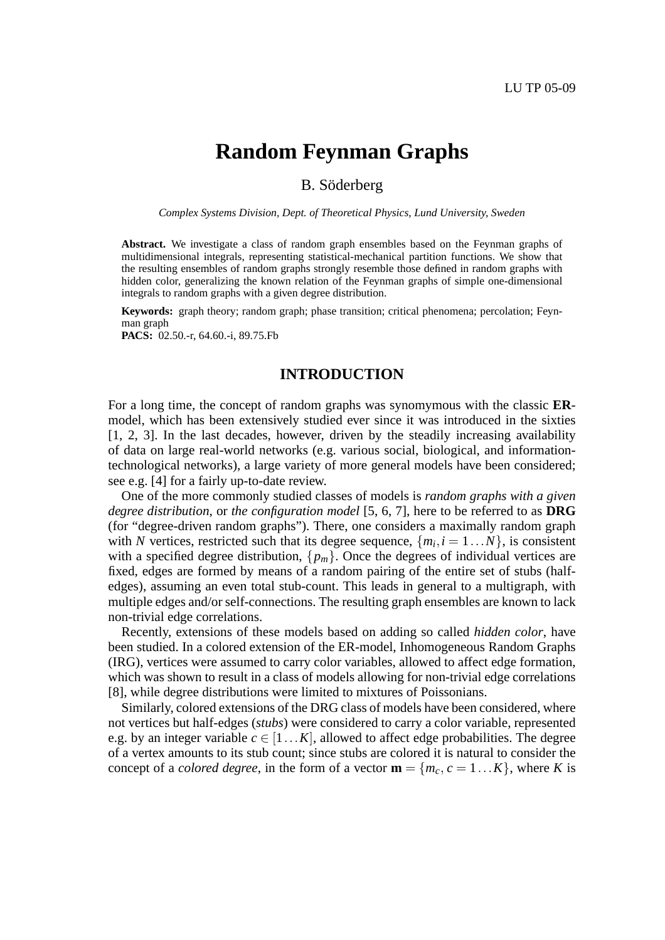# **Random Feynman Graphs**

# B. Söderberg

*Complex Systems Division, Dept. of Theoretical Physics, Lund University, Sweden*

**Abstract.** We investigate a class of random graph ensembles based on the Feynman graphs of multidimensional integrals, representing statistical-mechanical partition functions. We show that the resulting ensembles of random graphs strongly resemble those defined in random graphs with hidden color, generalizing the known relation of the Feynman graphs of simple one-dimensional integrals to random graphs with a given degree distribution.

**Keywords:** graph theory; random graph; phase transition; critical phenomena; percolation; Feynman graph

**PACS:** 02.50.-r, 64.60.-i, 89.75.Fb

# **INTRODUCTION**

For a long time, the concept of random graphs was synomymous with the classic **ER**model, which has been extensively studied ever since it was introduced in the sixties [1, 2, 3]. In the last decades, however, driven by the steadily increasing availability of data on large real-world networks (e.g. various social, biological, and informationtechnological networks), a large variety of more general models have been considered; see e.g. [4] for a fairly up-to-date review.

One of the more commonly studied classes of models is *random graphs with a given degree distribution*, or *the configuration model* [5, 6, 7], here to be referred to as **DRG** (for "degree-driven random graphs"). There, one considers a maximally random graph with *N* vertices, restricted such that its degree sequence,  $\{m_i, i = 1...N\}$ , is consistent with a specified degree distribution,  $\{p_m\}$ . Once the degrees of individual vertices are fixed, edges are formed by means of a random pairing of the entire set of stubs (halfedges), assuming an even total stub-count. This leads in general to a multigraph, with multiple edges and/or self-connections. The resulting graph ensembles are known to lack non-trivial edge correlations.

Recently, extensions of these models based on adding so called *hidden color*, have been studied. In a colored extension of the ER-model, Inhomogeneous Random Graphs (IRG), vertices were assumed to carry color variables, allowed to affect edge formation, which was shown to result in a class of models allowing for non-trivial edge correlations [8], while degree distributions were limited to mixtures of Poissonians.

Similarly, colored extensions of the DRG class of models have been considered, where not vertices but half-edges (*stubs*) were considered to carry a color variable, represented e.g. by an integer variable  $c \in [1...K]$ , allowed to affect edge probabilities. The degree of a vertex amounts to its stub count; since stubs are colored it is natural to consider the concept of a *colored degree*, in the form of a vector  $\mathbf{m} = \{m_c, c = 1...K\}$ , where *K* is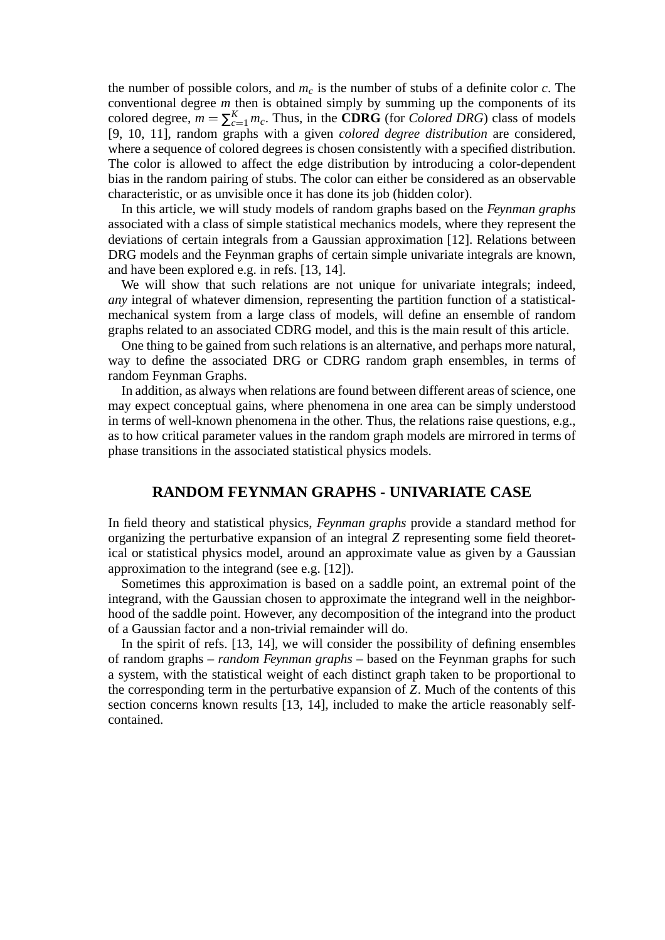the number of possible colors, and *m<sup>c</sup>* is the number of stubs of a definite color *c*. The conventional degree *m* then is obtained simply by summing up the components of its colored degree,  $m = \sum_{c=1}^{K} m_c$ . Thus, in the **CDRG** (for *Colored DRG*) class of models [9, 10, 11], random graphs with a given *colored degree distribution* are considered, where a sequence of colored degrees is chosen consistently with a specified distribution. The color is allowed to affect the edge distribution by introducing a color-dependent bias in the random pairing of stubs. The color can either be considered as an observable characteristic, or as unvisible once it has done its job (hidden color).

In this article, we will study models of random graphs based on the *Feynman graphs* associated with a class of simple statistical mechanics models, where they represent the deviations of certain integrals from a Gaussian approximation [12]. Relations between DRG models and the Feynman graphs of certain simple univariate integrals are known, and have been explored e.g. in refs. [13, 14].

We will show that such relations are not unique for univariate integrals; indeed, *any* integral of whatever dimension, representing the partition function of a statisticalmechanical system from a large class of models, will define an ensemble of random graphs related to an associated CDRG model, and this is the main result of this article.

One thing to be gained from such relations is an alternative, and perhaps more natural, way to define the associated DRG or CDRG random graph ensembles, in terms of random Feynman Graphs.

In addition, as always when relations are found between different areas of science, one may expect conceptual gains, where phenomena in one area can be simply understood in terms of well-known phenomena in the other. Thus, the relations raise questions, e.g., as to how critical parameter values in the random graph models are mirrored in terms of phase transitions in the associated statistical physics models.

## **RANDOM FEYNMAN GRAPHS - UNIVARIATE CASE**

In field theory and statistical physics, *Feynman graphs* provide a standard method for organizing the perturbative expansion of an integral *Z* representing some field theoretical or statistical physics model, around an approximate value as given by a Gaussian approximation to the integrand (see e.g. [12]).

Sometimes this approximation is based on a saddle point, an extremal point of the integrand, with the Gaussian chosen to approximate the integrand well in the neighborhood of the saddle point. However, any decomposition of the integrand into the product of a Gaussian factor and a non-trivial remainder will do.

In the spirit of refs. [13, 14], we will consider the possibility of defining ensembles of random graphs – *random Feynman graphs* – based on the Feynman graphs for such a system, with the statistical weight of each distinct graph taken to be proportional to the corresponding term in the perturbative expansion of *Z*. Much of the contents of this section concerns known results [13, 14], included to make the article reasonably selfcontained.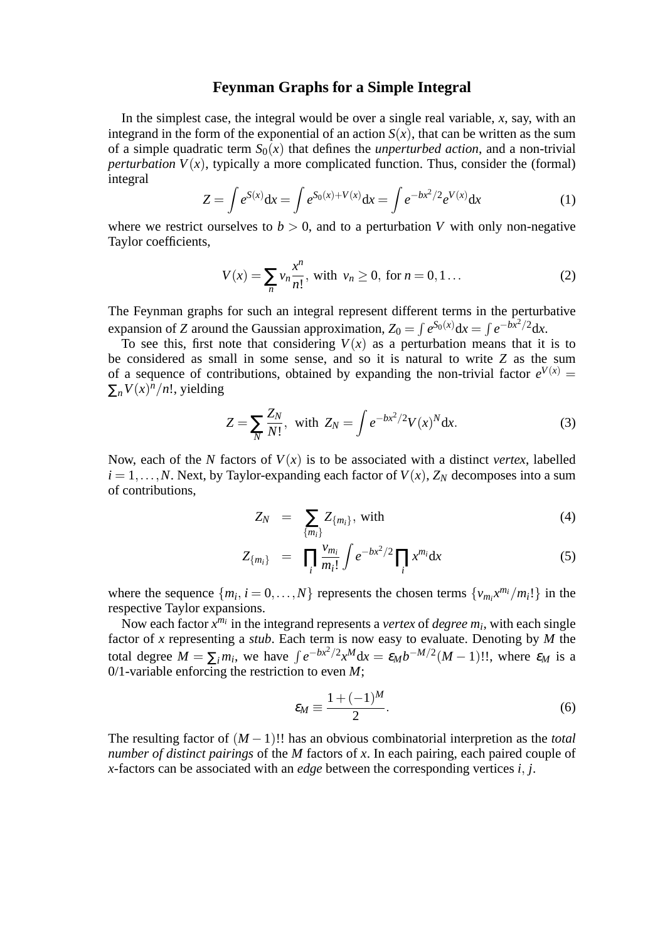## **Feynman Graphs for a Simple Integral**

In the simplest case, the integral would be over a single real variable, *x*, say, with an integrand in the form of the exponential of an action  $S(x)$ , that can be written as the sum of a simple quadratic term  $S_0(x)$  that defines the *unperturbed action*, and a non-trivial *perturbation*  $V(x)$ , typically a more complicated function. Thus, consider the (formal) integral

$$
Z = \int e^{S(x)} dx = \int e^{S_0(x) + V(x)} dx = \int e^{-bx^2/2} e^{V(x)} dx
$$
 (1)

where we restrict ourselves to  $b > 0$ , and to a perturbation *V* with only non-negative Taylor coefficients,

$$
V(x) = \sum_{n} v_n \frac{x^n}{n!}, \text{ with } v_n \ge 0, \text{ for } n = 0, 1 ...
$$
 (2)

The Feynman graphs for such an integral represent different terms in the perturbative expansion of *Z* around the Gaussian approximation,  $Z_0 = \int$  $e^{S_0(x)}dx = \int$  $e^{-bx^2/2}dx$ .

To see this, first note that considering  $V(x)$  as a perturbation means that it is to be considered as small in some sense, and so it is natural to write *Z* as the sum of a sequence of contributions, obtained by expanding the non-trivial factor  $e^{V(x)} =$  $\sum_n V(x)^n / n!$ , yielding

$$
Z = \sum_{N} \frac{Z_N}{N!}, \text{ with } Z_N = \int e^{-bx^2/2} V(x)^N dx. \tag{3}
$$

Now, each of the *N* factors of  $V(x)$  is to be associated with a distinct *vertex*, labelled  $i = 1, \ldots, N$ . Next, by Taylor-expanding each factor of  $V(x)$ ,  $Z_N$  decomposes into a sum of contributions,

$$
Z_N = \sum_{\{m_i\}} Z_{\{m_i\}}, \text{ with } \tag{4}
$$

$$
Z_{\{m_i\}} = \prod_i \frac{v_{m_i}}{m_i!} \int e^{-bx^2/2} \prod_i x^{m_i} dx
$$
 (5)

where the sequence  $\{m_i, i = 0, \ldots, N\}$  represents the chosen terms  $\{v_{m_i}x^{m_i}/m_i!\}$  in the respective Taylor expansions.

Now each factor  $x^{m_i}$  in the integrand represents a *vertex* of *degree*  $m_i$ , with each single factor of *x* representing a *stub*. Each term is now easy to evaluate. Denoting by *M* the total degree  $M = \sum_i m_i$ , we have  $\int e^{-bx^2/2}x^M dx = \varepsilon_M b^{-M/2}(M-1)!!$ , where  $\varepsilon_M$  is a 0/1-variable enforcing the restriction to even *M*;

$$
\varepsilon_M \equiv \frac{1 + (-1)^M}{2}.\tag{6}
$$

The resulting factor of (*M* −1)!! has an obvious combinatorial interpretion as the *total number of distinct pairings* of the *M* factors of *x*. In each pairing, each paired couple of *x*-factors can be associated with an *edge* between the corresponding vertices *i*, *j*.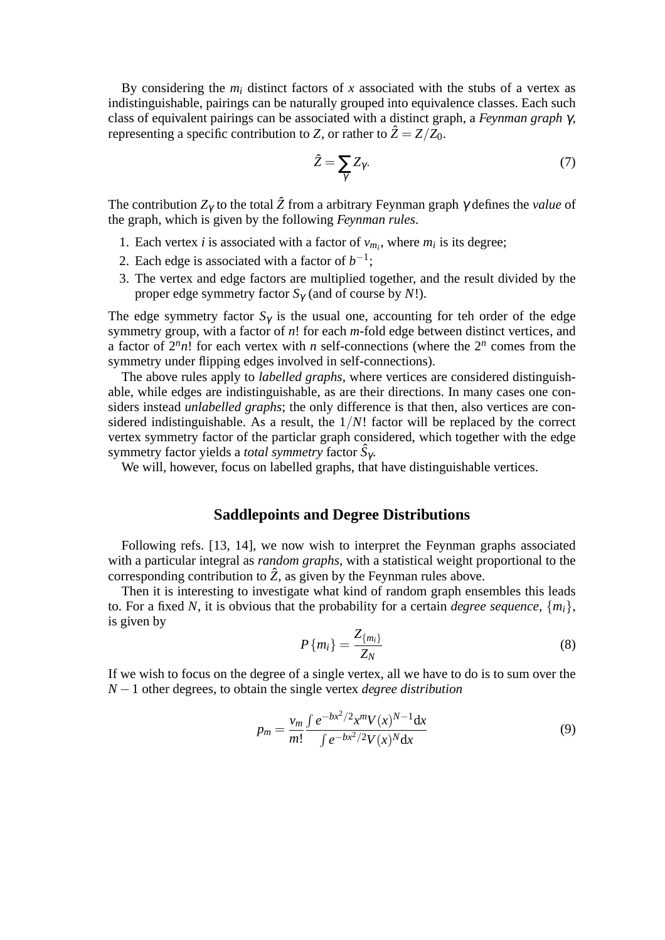By considering the *m<sup>i</sup>* distinct factors of *x* associated with the stubs of a vertex as indistinguishable, pairings can be naturally grouped into equivalence classes. Each such class of equivalent pairings can be associated with a distinct graph, a *Feynman graph* γ, representing a specific contribution to *Z*, or rather to  $\hat{Z} = Z/Z_0$ .

$$
\hat{Z} = \sum_{\gamma} Z_{\gamma}.\tag{7}
$$

The contribution  $Z_{\gamma}$  to the total  $\hat{Z}$  from a arbitrary Feynman graph  $\gamma$  defines the *value* of the graph, which is given by the following *Feynman rules*.

- 1. Each vertex *i* is associated with a factor of  $v_{m_i}$ , where  $m_i$  is its degree;
- 2. Each edge is associated with a factor of  $b^{-1}$ ;
- 3. The vertex and edge factors are multiplied together, and the result divided by the proper edge symmetry factor  $S_\gamma$  (and of course by *N*!).

The edge symmetry factor  $S_{\gamma}$  is the usual one, accounting for teh order of the edge symmetry group, with a factor of *n*! for each *m*-fold edge between distinct vertices, and a factor of  $2<sup>n</sup>n!$  for each vertex with *n* self-connections (where the  $2<sup>n</sup>$  comes from the symmetry under flipping edges involved in self-connections).

The above rules apply to *labelled graphs*, where vertices are considered distinguishable, while edges are indistinguishable, as are their directions. In many cases one considers instead *unlabelled graphs*; the only difference is that then, also vertices are considered indistinguishable. As a result, the  $1/N!$  factor will be replaced by the correct vertex symmetry factor of the particlar graph considered, which together with the edge symmetry factor yields a *total symmetry* factor  $\hat{S}_{\gamma}$ .

We will, however, focus on labelled graphs, that have distinguishable vertices.

## **Saddlepoints and Degree Distributions**

Following refs. [13, 14], we now wish to interpret the Feynman graphs associated with a particular integral as *random graphs*, with a statistical weight proportional to the corresponding contribution to  $\hat{Z}$ , as given by the Feynman rules above.

Then it is interesting to investigate what kind of random graph ensembles this leads to. For a fixed N, it is obvious that the probability for a certain *degree sequence*,  $\{m_i\}$ , is given by

$$
P\{m_i\} = \frac{Z_{\{m_i\}}}{Z_N} \tag{8}
$$

If we wish to focus on the degree of a single vertex, all we have to do is to sum over the *N* −1 other degrees, to obtain the single vertex *degree distribution*

$$
p_m = \frac{v_m}{m!} \frac{\int e^{-bx^2/2} x^m V(x)^{N-1} dx}{\int e^{-bx^2/2} V(x)^N dx}
$$
(9)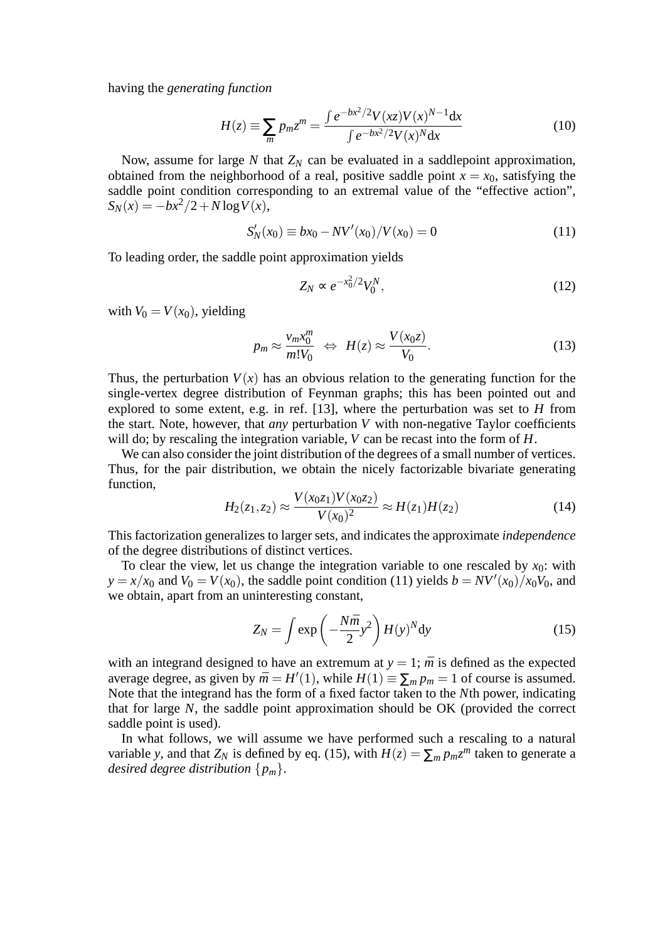having the *generating function*

$$
H(z) \equiv \sum_{m} p_{m} z^{m} = \frac{\int e^{-bx^{2}/2} V(xz) V(x)^{N-1} dx}{\int e^{-bx^{2}/2} V(x)^{N} dx}
$$
(10)

Now, assume for large *N* that *Z<sup>N</sup>* can be evaluated in a saddlepoint approximation, obtained from the neighborhood of a real, positive saddle point  $x = x_0$ , satisfying the saddle point condition corresponding to an extremal value of the "effective action",  $S_N(x) = -bx^2/2 + N\log V(x),$ 

$$
S'_N(x_0) \equiv bx_0 - NV'(x_0)/V(x_0) = 0 \tag{11}
$$

To leading order, the saddle point approximation yields

$$
Z_N \propto e^{-x_0^2/2} V_0^N,\tag{12}
$$

with  $V_0 = V(x_0)$ , yielding

$$
p_m \approx \frac{v_m x_0^m}{m! V_0} \iff H(z) \approx \frac{V(x_0 z)}{V_0}.
$$
 (13)

Thus, the perturbation  $V(x)$  has an obvious relation to the generating function for the single-vertex degree distribution of Feynman graphs; this has been pointed out and explored to some extent, e.g. in ref. [13], where the perturbation was set to *H* from the start. Note, however, that *any* perturbation *V* with non-negative Taylor coefficients will do; by rescaling the integration variable, *V* can be recast into the form of *H*.

We can also consider the joint distribution of the degrees of a small number of vertices. Thus, for the pair distribution, we obtain the nicely factorizable bivariate generating function,

$$
H_2(z_1, z_2) \approx \frac{V(x_0 z_1)V(x_0 z_2)}{V(x_0)^2} \approx H(z_1)H(z_2)
$$
 (14)

This factorization generalizes to larger sets, and indicates the approximate *independence* of the degree distributions of distinct vertices.

To clear the view, let us change the integration variable to one rescaled by  $x_0$ : with  $y = x/x_0$  and  $V_0 = V(x_0)$ , the saddle point condition (11) yields  $b = NV'(x_0)/x_0V_0$ , and we obtain, apart from an uninteresting constant,

$$
Z_N = \int \exp\left(-\frac{N\bar{m}}{2}y^2\right) H(y)^N dy \tag{15}
$$

with an integrand designed to have an extremum at  $y = 1$ ;  $\bar{m}$  is defined as the expected average degree, as given by  $\bar{m} = H'(1)$ , while  $H(1) \equiv \sum_m p_m = 1$  of course is assumed. Note that the integrand has the form of a fixed factor taken to the *N*th power, indicating that for large *N*, the saddle point approximation should be OK (provided the correct saddle point is used).

In what follows, we will assume we have performed such a rescaling to a natural variable *y*, and that  $Z_N$  is defined by eq. (15), with  $H(z) = \sum_m p_m z^m$  taken to generate a *desired degree distribution* {*pm*}.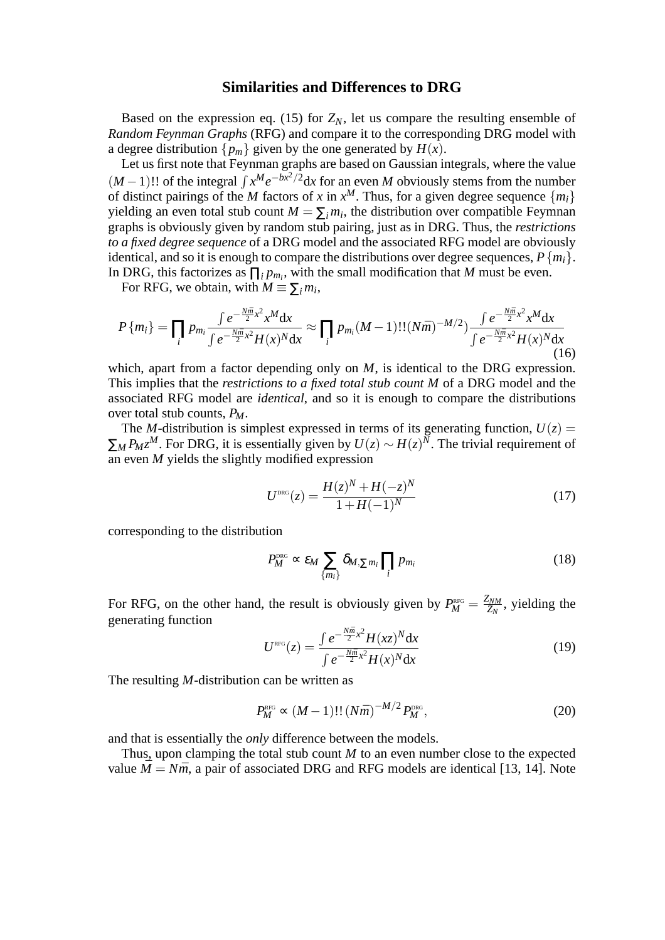#### **Similarities and Differences to DRG**

Based on the expression eq. (15) for  $Z_N$ , let us compare the resulting ensemble of *Random Feynman Graphs* (RFG) and compare it to the corresponding DRG model with a degree distribution  $\{p_m\}$  given by the one generated by  $H(x)$ .

Let us first note that Feynman graphs are based on Gaussian integrals, where the value Let us first note that I cynthian graphs are based on Gaussian integrals, where the value  $(M-1)!!$  of the integral  $\int x^M e^{-bx^2/2} dx$  for an even *M* obviously stems from the number of distinct pairings of the *M* factors of *x* in  $x^M$ . Thus, for a given degree sequence  $\{m_i\}$ yielding an even total stub count  $M = \sum_i m_i$ , the distribution over compatible Feymnan graphs is obviously given by random stub pairing, just as in DRG. Thus, the *restrictions to a fixed degree sequence* of a DRG model and the associated RFG model are obviously identical, and so it is enough to compare the distributions over degree sequences,  $P\{m_i\}$ . In DRG, this factorizes as  $\prod_i p_{m_i}$ , with the small modification that *M* must be even.

For RFG, we obtain, with  $M \equiv \sum_i m_i$ ,

$$
P\{m_i\} = \prod_i p_{m_i} \frac{\int e^{-\frac{N\bar{m}}{2}x^2} x^M dx}{\int e^{-\frac{N\bar{m}}{2}x^2} H(x)^N dx} \approx \prod_i p_{m_i} (M-1)!! (N\bar{m})^{-M/2} \frac{\int e^{-\frac{N\bar{m}}{2}x^2} x^M dx}{\int e^{-\frac{N\bar{m}}{2}x^2} H(x)^N dx}
$$
(16)

which, apart from a factor depending only on *M*, is identical to the DRG expression. This implies that the *restrictions to a fixed total stub count M* of a DRG model and the associated RFG model are *identical*, and so it is enough to compare the distributions over total stub counts, *PM*.

The *M*-distribution is simplest expressed in terms of its generating function,  $U(z) =$  $\sum_M P_M z^M$ . For DRG, it is essentially given by  $U(z) \sim H(z)^{\bar{N}}$ . The trivial requirement of an even *M* yields the slightly modified expression

$$
U^{\text{DRG}}(z) = \frac{H(z)^N + H(-z)^N}{1 + H(-1)^N}
$$
\n(17)

corresponding to the distribution

$$
P_M^{\text{DRG}} \propto \mathcal{E}_M \sum_{\{m_i\}} \delta_{M,\sum m_i} \prod_i p_{m_i} \tag{18}
$$

For RFG, on the other hand, the result is obviously given by  $P_M^{\text{\tiny EFG}} = \frac{Z_{NM}}{Z_N}$  $\frac{Z_{NM}}{Z_N}$ , yielding the generating function

$$
U^{\text{RFG}}(z) = \frac{\int e^{-\frac{N\bar{m}}{2}x^2} H(xz)^N dx}{\int e^{-\frac{N\bar{m}}{2}x^2} H(x)^N dx}
$$
(19)

The resulting *M*-distribution can be written as

$$
P_M^{\text{RFG}} \propto (M-1)!! \left( N \bar{m} \right)^{-M/2} P_M^{\text{DRG}},\tag{20}
$$

and that is essentially the *only* difference between the models.

Thus, upon clamping the total stub count *M* to an even number close to the expected value  $\overline{M} = N\overline{m}$ , a pair of associated DRG and RFG models are identical [13, 14]. Note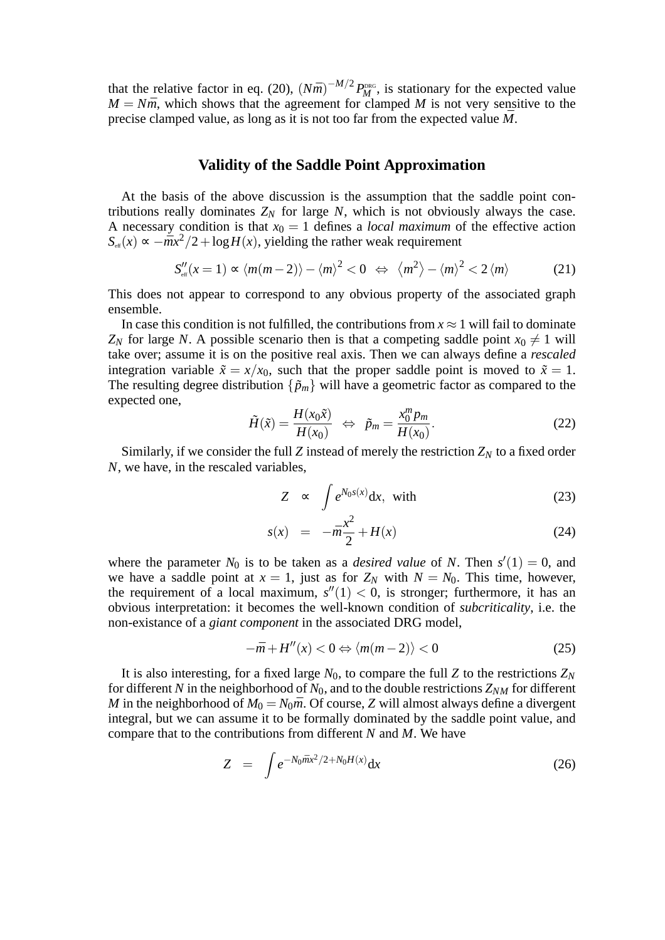that the relative factor in eq. (20),  $(N\bar{m})^{-M/2} P_M^{\text{prg}}$ , is stationary for the expected value  $M = N\bar{m}$ , which shows that the agreement for clamped *M* is not very sensitive to the precise clamped value, as long as it is not too far from the expected value  $\overline{M}$ .

#### **Validity of the Saddle Point Approximation**

At the basis of the above discussion is the assumption that the saddle point contributions really dominates  $Z_N$  for large  $N$ , which is not obviously always the case. A necessary condition is that  $x_0 = 1$  defines a *local maximum* of the effective action  $S_{\text{eff}}(x) \approx -\bar{m}x^2/2 + \log H(x)$ , yielding the rather weak requirement

$$
S_{\rm eff}''(x=1) \propto \langle m(m-2) \rangle - \langle m \rangle^2 < 0 \iff \langle m^2 \rangle - \langle m \rangle^2 < 2 \langle m \rangle \tag{21}
$$

This does not appear to correspond to any obvious property of the associated graph ensemble.

In case this condition is not fulfilled, the contributions from  $x \approx 1$  will fail to dominate  $Z_N$  for large *N*. A possible scenario then is that a competing saddle point  $x_0 \neq 1$  will take over; assume it is on the positive real axis. Then we can always define a *rescaled* integration variable  $\tilde{x} = x/x_0$ , such that the proper saddle point is moved to  $\tilde{x} = 1$ . The resulting degree distribution  $\{\tilde{p}_m\}$  will have a geometric factor as compared to the expected one,

$$
\tilde{H}(\tilde{x}) = \frac{H(x_0 \tilde{x})}{H(x_0)} \iff \tilde{p}_m = \frac{x_0^m p_m}{H(x_0)}.
$$
\n(22)

Similarly, if we consider the full *Z* instead of merely the restriction  $Z_N$  to a fixed order *N*, we have, in the rescaled variables,

$$
Z \sim \int e^{N_0 s(x)} dx, \text{ with } (23)
$$

$$
s(x) = -\bar{m}\frac{x^2}{2} + H(x)
$$
 (24)

where the parameter  $N_0$  is to be taken as a *desired value* of N. Then  $s'(1) = 0$ , and we have a saddle point at  $x = 1$ , just as for  $Z_N$  with  $N = N_0$ . This time, however, the requirement of a local maximum,  $s''(1) < 0$ , is stronger; furthermore, it has an obvious interpretation: it becomes the well-known condition of *subcriticality*, i.e. the non-existance of a *giant component* in the associated DRG model,

$$
-\bar{m} + H''(x) < 0 \Leftrightarrow \langle m(m-2) \rangle < 0 \tag{25}
$$

It is also interesting, for a fixed large  $N_0$ , to compare the full *Z* to the restrictions  $Z_N$ for different N in the neighborhood of  $N_0$ , and to the double restrictions  $Z_{NM}$  for different *M* in the neighborhood of  $M_0 = N_0 \bar{m}$ . Of course, *Z* will almost always define a divergent integral, but we can assume it to be formally dominated by the saddle point value, and compare that to the contributions from different *N* and *M*. We have

$$
Z = \int e^{-N_0 \bar{m}x^2/2 + N_0 H(x)} dx
$$
 (26)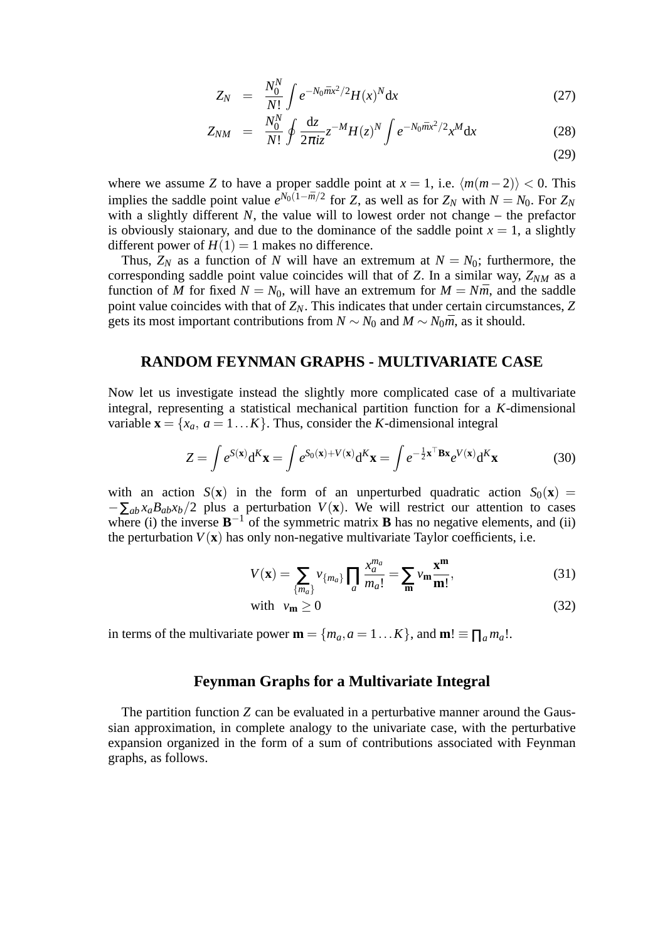$$
Z_N = \frac{N_0^N}{N!} \int e^{-N_0 \bar{m}x^2/2} H(x)^N dx
$$
 (27)

$$
Z_{NM} = \frac{N_0^N}{N!} \oint \frac{dz}{2\pi i z} z^{-M} H(z)^N \int e^{-N_0 \bar{m}x^2/2} x^M dx
$$
 (28)

(29)

where we assume *Z* to have a proper saddle point at  $x = 1$ , i.e.  $\langle m(m-2) \rangle < 0$ . This implies the saddle point value  $e^{N_0(1-\bar{m}/2)}$  for *Z*, as well as for  $Z_N$  with  $N = N_0$ . For  $Z_N$ with a slightly different  $N$ , the value will to lowest order not change – the prefactor is obviously staionary, and due to the dominance of the saddle point  $x = 1$ , a slightly different power of  $H(1) = 1$  makes no difference.

Thus,  $Z_N$  as a function of N will have an extremum at  $N = N_0$ ; furthermore, the corresponding saddle point value coincides will that of *Z*. In a similar way, *ZNM* as a function of *M* for fixed  $N = N_0$ , will have an extremum for  $M = N\bar{m}$ , and the saddle point value coincides with that of *ZN*. This indicates that under certain circumstances, *Z* gets its most important contributions from  $N \sim N_0$  and  $M \sim N_0 \bar{m}$ , as it should.

# **RANDOM FEYNMAN GRAPHS - MULTIVARIATE CASE**

Now let us investigate instead the slightly more complicated case of a multivariate integral, representing a statistical mechanical partition function for a *K*-dimensional variable  $\mathbf{x} = \{x_a, a = 1...K\}$ . Thus, consider the *K*-dimensional integral

$$
Z = \int e^{S(\mathbf{x})} d^{K} \mathbf{x} = \int e^{S_0(\mathbf{x}) + V(\mathbf{x})} d^{K} \mathbf{x} = \int e^{-\frac{1}{2}\mathbf{x}^{\top} \mathbf{B} \mathbf{x}} e^{V(\mathbf{x})} d^{K} \mathbf{x}
$$
(30)

with an action  $S(\mathbf{x})$  in the form of an unperturbed quadratic action  $S_0(\mathbf{x}) =$  $-\sum_{ab} x_a B_{ab} x_b/2$  plus a perturbation  $V(\mathbf{x})$ . We will restrict our attention to cases where (i) the inverse  $B^{-1}$  of the symmetric matrix **B** has no negative elements, and (ii) the perturbation  $V(\mathbf{x})$  has only non-negative multivariate Taylor coefficients, i.e.

$$
V(\mathbf{x}) = \sum_{\{m_a\}} v_{\{m_a\}} \prod_a \frac{x_a^{m_a}}{m_a!} = \sum_{\mathbf{m}} v_{\mathbf{m}} \frac{\mathbf{x}^{\mathbf{m}}}{\mathbf{m}!},
$$
(31)

with 
$$
v_{\mathbf{m}} \ge 0
$$
 (32)

in terms of the multivariate power  $\mathbf{m} = \{m_a, a = 1...K\}$ , and  $\mathbf{m}! \equiv \prod_a m_a!$ .

## **Feynman Graphs for a Multivariate Integral**

The partition function *Z* can be evaluated in a perturbative manner around the Gaussian approximation, in complete analogy to the univariate case, with the perturbative expansion organized in the form of a sum of contributions associated with Feynman graphs, as follows.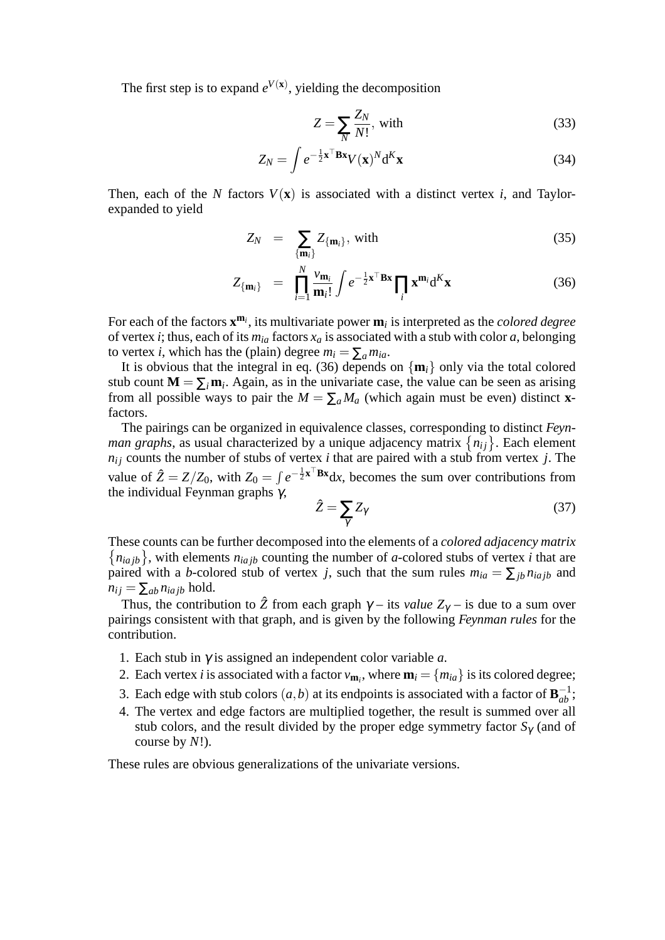The first step is to expand  $e^{V(x)}$ , yielding the decomposition

$$
Z = \sum_{N} \frac{Z_N}{N!}, \text{ with} \tag{33}
$$

$$
Z_N = \int e^{-\frac{1}{2}\mathbf{x}^\top \mathbf{B} \mathbf{x}} V(\mathbf{x})^N d^K \mathbf{x}
$$
 (34)

Then, each of the *N* factors  $V(\mathbf{x})$  is associated with a distinct vertex *i*, and Taylorexpanded to yield

$$
Z_N = \sum_{\{\mathbf{m}_i\}} Z_{\{\mathbf{m}_i\}}, \text{ with } (35)
$$

$$
Z_{\{\mathbf{m}_i\}} = \prod_{i=1}^N \frac{v_{\mathbf{m}_i}}{\mathbf{m}_i!} \int e^{-\frac{1}{2}\mathbf{x}^\top \mathbf{B} \mathbf{x}} \prod_i \mathbf{x}^{\mathbf{m}_i} \mathbf{d}^K \mathbf{x}
$$
(36)

For each of the factors **x m***i* , its multivariate power **m***<sup>i</sup>* is interpreted as the *colored degree* of vertex *i*; thus, each of its *mia* factors *x<sup>a</sup>* is associated with a stub with color *a*, belonging to vertex *i*, which has the (plain) degree  $m_i = \sum_a m_{ia}$ .

It is obvious that the integral in eq. (36) depends on  $\{m_i\}$  only via the total colored stub count  $M = \sum_i m_i$ . Again, as in the univariate case, the value can be seen as arising from all possible ways to pair the  $M = \sum_{a} M_a$  (which again must be even) distinct **x**factors.

The pairings can be organized in equivalence classes, corresponding to distinct *Feyn-*The pairings can be organized in equivalence classes, corresponding to distinct *Feynman graphs*, as usual characterized by a unique adjacency matrix  $\{n_{ij}\}$ . Each element  $n_{ij}$  counts the number of stubs of vertex *i* that are paired with a stub from vertex *j*. The value of  $\hat{Z} = Z/Z_0$ , with  $Z_0 = \int$  $e^{-\frac{1}{2}x^{\top}Bx}dx$ , becomes the sum over contributions from the individual Feynman graphs γ,

$$
\hat{Z} = \sum_{\gamma} Z_{\gamma} \tag{37}
$$

These counts can be further decomposed into the elements of a *colored adjacency matrix* © hese counts can be further decomposed into the elements of a *colored adjacency matrix*<br> $n_{iajb}$ }, with elements  $n_{iajb}$  counting the number of *a*-colored stubs of vertex *i* that are paired with a *b*-colored stub of vertex *j*, such that the sum rules  $m_{ia} = \sum_{ib} n_{iajb}$  and  $n_{ij} = \sum_{ab} n_{iajb}$  hold.

Thus, the contribution to  $\hat{Z}$  from each graph  $\gamma$  – its *value*  $Z_{\gamma}$  – is due to a sum over pairings consistent with that graph, and is given by the following *Feynman rules* for the contribution.

- 1. Each stub in γ is assigned an independent color variable *a*.
- 2. Each vertex *i* is associated with a factor  $v_{\mathbf{m}_i}$ , where  $\mathbf{m}_i = \{m_{ia}\}\$ is its colored degree;
- 3. Each edge with stub colors  $(a, b)$  at its endpoints is associated with a factor of  $\mathbf{B}_{ab}^{-1}$ ;
- 4. The vertex and edge factors are multiplied together, the result is summed over all stub colors, and the result divided by the proper edge symmetry factor  $S_\gamma$  (and of course by *N*!).

These rules are obvious generalizations of the univariate versions.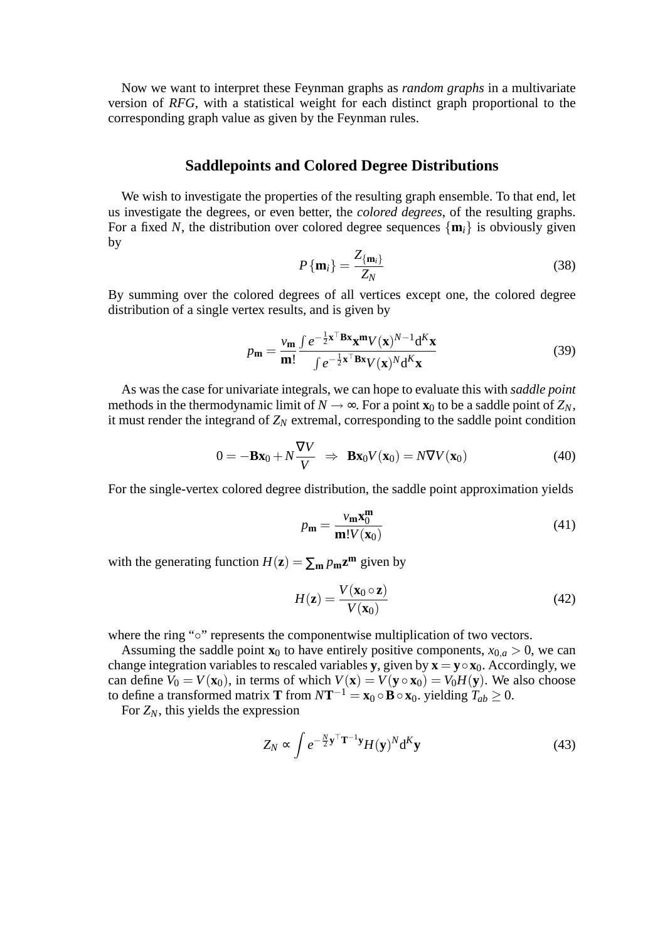Now we want to interpret these Feynman graphs as *random graphs* in a multivariate version of *RFG*, with a statistical weight for each distinct graph proportional to the corresponding graph value as given by the Feynman rules.

#### **Saddlepoints and Colored Degree Distributions**

We wish to investigate the properties of the resulting graph ensemble. To that end, let us investigate the degrees, or even better, the *colored degrees*, of the resulting graphs. For a fixed N, the distribution over colored degree sequences  $\{\mathbf{m}_i\}$  is obviously given by

$$
P\{\mathbf{m}_i\} = \frac{Z_{\{\mathbf{m}_i\}}}{Z_N} \tag{38}
$$

By summing over the colored degrees of all vertices except one, the colored degree distribution of a single vertex results, and is given by

$$
p_{\mathbf{m}} = \frac{v_{\mathbf{m}}}{\mathbf{m}!} \frac{\int e^{-\frac{1}{2}\mathbf{x}^{\top} \mathbf{B} \mathbf{x}} \mathbf{x}^{\mathbf{m}} V(\mathbf{x})^{N-1} d^{K} \mathbf{x}}{\int e^{-\frac{1}{2}\mathbf{x}^{\top} \mathbf{B} \mathbf{x}} V(\mathbf{x})^{N} d^{K} \mathbf{x}}
$$
(39)

As was the case for univariate integrals, we can hope to evaluate this with *saddle point* methods in the thermodynamic limit of  $N \rightarrow \infty$ . For a point  $\mathbf{x}_0$  to be a saddle point of  $Z_N$ , it must render the integrand of  $Z_N$  extremal, corresponding to the saddle point condition

$$
0 = -\mathbf{B}\mathbf{x}_0 + N\frac{\nabla V}{V} \Rightarrow \mathbf{B}\mathbf{x}_0 V(\mathbf{x}_0) = N\nabla V(\mathbf{x}_0)
$$
 (40)

For the single-vertex colored degree distribution, the saddle point approximation yields

$$
p_{\mathbf{m}} = \frac{v_{\mathbf{m}} \mathbf{x}_0^{\mathbf{m}}}{\mathbf{m}! V(\mathbf{x}_0)}
$$
(41)

with the generating function  $H(z) = \sum_{m} p_m z^m$  given by

$$
H(\mathbf{z}) = \frac{V(\mathbf{x}_0 \circ \mathbf{z})}{V(\mathbf{x}_0)}
$$
(42)

where the ring "∘" represents the componentwise multiplication of two vectors.

Assuming the saddle point  $\mathbf{x}_0$  to have entirely positive components,  $x_{0,a} > 0$ , we can change integration variables to rescaled variables **y**, given by  $\mathbf{x} = \mathbf{y} \circ \mathbf{x}_0$ . Accordingly, we can define  $V_0 = V(\mathbf{x}_0)$ , in terms of which  $V(\mathbf{x}) = V(\mathbf{y} \circ \mathbf{x}_0) = V_0 H(\mathbf{y})$ . We also choose to define a transformed matrix **T** from  $N$ **T**<sup> $-1$ </sup> = **x**<sub>0</sub> ◦**B** ◦ **x**<sub>0</sub>. yielding  $T_{ab} \ge 0$ .

For  $Z_N$ , this yields the expression

$$
Z_N \propto \int e^{-\frac{N}{2}\mathbf{y}^\top \mathbf{T}^{-1}\mathbf{y}} H(\mathbf{y})^N \mathbf{d}^K \mathbf{y}
$$
 (43)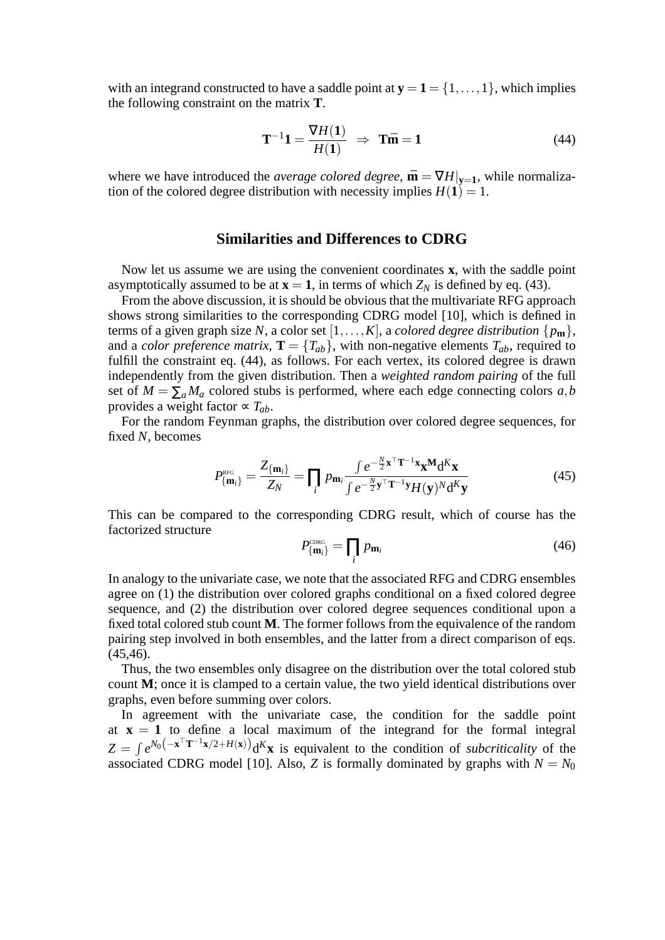with an integrand constructed to have a saddle point at  $y = 1 = \{1, ..., 1\}$ , which implies the following constraint on the matrix **T**.

$$
\mathbf{T}^{-1}\mathbf{1} = \frac{\nabla H(\mathbf{1})}{H(\mathbf{1})} \Rightarrow \mathbf{T}\bar{\mathbf{m}} = \mathbf{1}
$$
 (44)

where we have introduced the *average colored degree*,  $\bar{\mathbf{m}} = \nabla H|_{\mathbf{v}=\mathbf{1}}$ , while normalization of the colored degree distribution with necessity implies  $H(1) = 1$ .

# **Similarities and Differences to CDRG**

Now let us assume we are using the convenient coordinates **x**, with the saddle point asymptotically assumed to be at  $\mathbf{x} = 1$ , in terms of which  $Z_N$  is defined by eq. (43).

From the above discussion, it is should be obvious that the multivariate RFG approach shows strong similarities to the corresponding CDRG model [10], which is defined in terms of a given graph size *N*, a color set  $[1, \ldots, K]$ , a *colored degree distribution*  $\{p_m\}$ , and a *color preference matrix*,  $\mathbf{T} = \{T_{ab}\}\$ , with non-negative elements  $T_{ab}$ , required to fulfill the constraint eq. (44), as follows. For each vertex, its colored degree is drawn independently from the given distribution. Then a *weighted random pairing* of the full set of  $M = \sum_a M_a$  colored stubs is performed, where each edge connecting colors a, b provides a weight factor  $\propto T_{ab}$ .

For the random Feynman graphs, the distribution over colored degree sequences, for fixed *N*, becomes

$$
P_{\{\mathbf{m}_i\}}^{\text{RFG}} = \frac{Z_{\{\mathbf{m}_i\}}}{Z_N} = \prod_i p_{\mathbf{m}_i} \frac{\int e^{-\frac{N}{2}\mathbf{x}^\top \mathbf{T}^{-1}\mathbf{x}} \mathbf{x}^\mathbf{M} \mathbf{d}^K \mathbf{x}}{\int e^{-\frac{N}{2}\mathbf{y}^\top \mathbf{T}^{-1}\mathbf{y}} H(\mathbf{y})^N \mathbf{d}^K \mathbf{y}}
$$
(45)

This can be compared to the corresponding CDRG result, which of course has the factorized structure

$$
P_{\{\mathbf{m}_i\}}^{\text{CDRG}} = \prod_i p_{\mathbf{m}_i} \tag{46}
$$

In analogy to the univariate case, we note that the associated RFG and CDRG ensembles agree on (1) the distribution over colored graphs conditional on a fixed colored degree sequence, and (2) the distribution over colored degree sequences conditional upon a fixed total colored stub count **M**. The former follows from the equivalence of the random pairing step involved in both ensembles, and the latter from a direct comparison of eqs.  $(45, 46)$ .

Thus, the two ensembles only disagree on the distribution over the total colored stub count **M**; once it is clamped to a certain value, the two yield identical distributions over graphs, even before summing over colors.

In agreement with the univariate case, the condition for the saddle point at  $x = 1$  to define a local maximum of the integrand for the formal integral  $Z = \int$  $e^{N_0(-\mathbf{x}^\top \mathbf{T}^{-1} \mathbf{x}/2 + H(\mathbf{x}))} d^K \mathbf{x}$  is equivalent to the condition of *subcriticality* of the associated CDRG model [10]. Also, *Z* is formally dominated by graphs with  $N = N_0$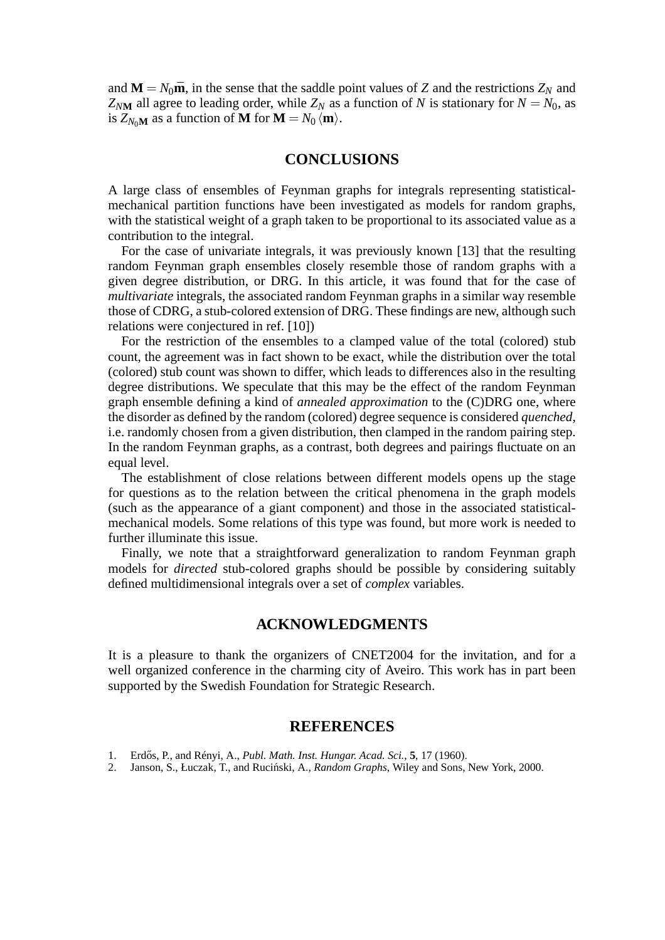and  $M = N_0 \bar{m}$ , in the sense that the saddle point values of *Z* and the restrictions  $Z_N$  and *Z*<sub>*N***M**</del> all agree to leading order, while *Z*<sup>*N*</sup> as a function of *N* is stationary for  $N = N_0$ , as</sub> is  $Z_{N_0M}$  as a function of **M** for  $M = N_0 \langle m \rangle$ .

# **CONCLUSIONS**

A large class of ensembles of Feynman graphs for integrals representing statisticalmechanical partition functions have been investigated as models for random graphs, with the statistical weight of a graph taken to be proportional to its associated value as a contribution to the integral.

For the case of univariate integrals, it was previously known [13] that the resulting random Feynman graph ensembles closely resemble those of random graphs with a given degree distribution, or DRG. In this article, it was found that for the case of *multivariate* integrals, the associated random Feynman graphs in a similar way resemble those of CDRG, a stub-colored extension of DRG. These findings are new, although such relations were conjectured in ref. [10])

For the restriction of the ensembles to a clamped value of the total (colored) stub count, the agreement was in fact shown to be exact, while the distribution over the total (colored) stub count was shown to differ, which leads to differences also in the resulting degree distributions. We speculate that this may be the effect of the random Feynman graph ensemble defining a kind of *annealed approximation* to the (C)DRG one, where the disorder as defined by the random (colored) degree sequence is considered *quenched*, i.e. randomly chosen from a given distribution, then clamped in the random pairing step. In the random Feynman graphs, as a contrast, both degrees and pairings fluctuate on an equal level.

The establishment of close relations between different models opens up the stage for questions as to the relation between the critical phenomena in the graph models (such as the appearance of a giant component) and those in the associated statisticalmechanical models. Some relations of this type was found, but more work is needed to further illuminate this issue.

Finally, we note that a straightforward generalization to random Feynman graph models for *directed* stub-colored graphs should be possible by considering suitably defined multidimensional integrals over a set of *complex* variables.

# **ACKNOWLEDGMENTS**

It is a pleasure to thank the organizers of CNET2004 for the invitation, and for a well organized conference in the charming city of Aveiro. This work has in part been supported by the Swedish Foundation for Strategic Research.

# **REFERENCES**

- 1. Erdős, P., and Rényi, A., *Publ. Math. Inst. Hungar. Acad. Sci.*, **5**, 17 (1960).
- 2. Janson, S., Łuczak, T., and Ruciński, A., *Random Graphs*, Wiley and Sons, New York, 2000.